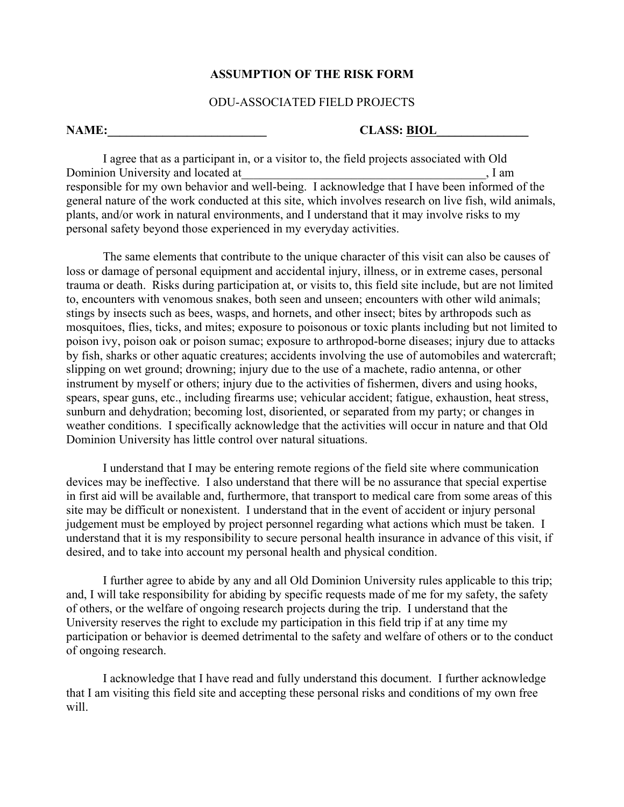## **ASSUMPTION OF THE RISK FORM**

## ODU-ASSOCIATED FIELD PROJECTS

## **NAME: CLASS: BIOL**

I agree that as a participant in, or a visitor to, the field projects associated with Old Dominion University and located at  $\Box$ responsible for my own behavior and well-being. I acknowledge that I have been informed of the general nature of the work conducted at this site, which involves research on live fish, wild animals, plants, and/or work in natural environments, and I understand that it may involve risks to my personal safety beyond those experienced in my everyday activities.

The same elements that contribute to the unique character of this visit can also be causes of loss or damage of personal equipment and accidental injury, illness, or in extreme cases, personal trauma or death. Risks during participation at, or visits to, this field site include, but are not limited to, encounters with venomous snakes, both seen and unseen; encounters with other wild animals; stings by insects such as bees, wasps, and hornets, and other insect; bites by arthropods such as mosquitoes, flies, ticks, and mites; exposure to poisonous or toxic plants including but not limited to poison ivy, poison oak or poison sumac; exposure to arthropod-borne diseases; injury due to attacks by fish, sharks or other aquatic creatures; accidents involving the use of automobiles and watercraft; slipping on wet ground; drowning; injury due to the use of a machete, radio antenna, or other instrument by myself or others; injury due to the activities of fishermen, divers and using hooks, spears, spear guns, etc., including firearms use; vehicular accident; fatigue, exhaustion, heat stress, sunburn and dehydration; becoming lost, disoriented, or separated from my party; or changes in weather conditions. I specifically acknowledge that the activities will occur in nature and that Old Dominion University has little control over natural situations.

I understand that I may be entering remote regions of the field site where communication devices may be ineffective. I also understand that there will be no assurance that special expertise in first aid will be available and, furthermore, that transport to medical care from some areas of this site may be difficult or nonexistent. I understand that in the event of accident or injury personal judgement must be employed by project personnel regarding what actions which must be taken. I understand that it is my responsibility to secure personal health insurance in advance of this visit, if desired, and to take into account my personal health and physical condition.

I further agree to abide by any and all Old Dominion University rules applicable to this trip; and, I will take responsibility for abiding by specific requests made of me for my safety, the safety of others, or the welfare of ongoing research projects during the trip. I understand that the University reserves the right to exclude my participation in this field trip if at any time my participation or behavior is deemed detrimental to the safety and welfare of others or to the conduct of ongoing research.

I acknowledge that I have read and fully understand this document. I further acknowledge that I am visiting this field site and accepting these personal risks and conditions of my own free will.